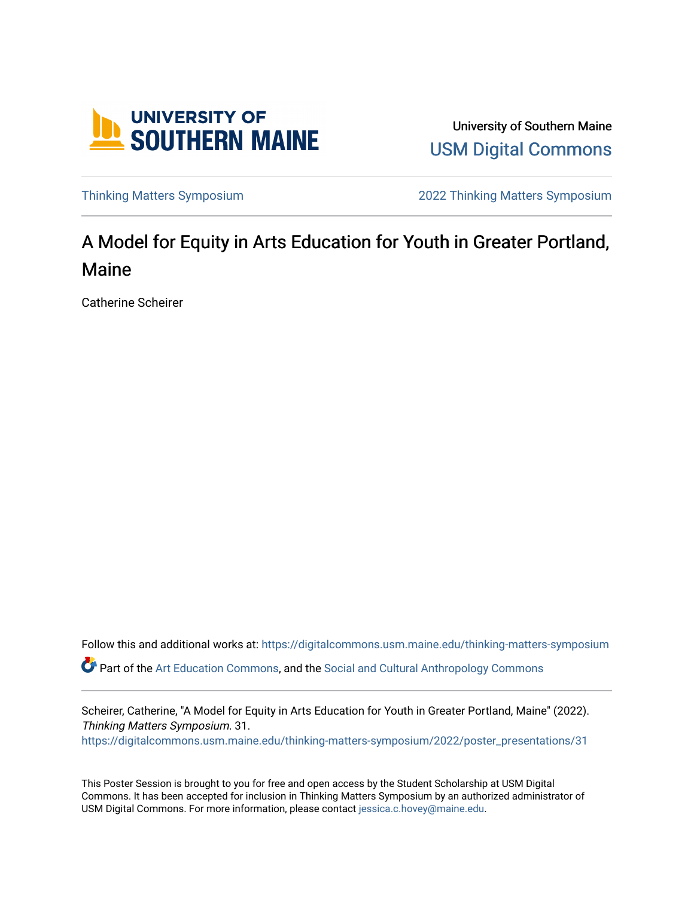

University of Southern Maine [USM Digital Commons](https://digitalcommons.usm.maine.edu/) 

[Thinking Matters Symposium](https://digitalcommons.usm.maine.edu/thinking-matters-symposium) [2022 Thinking Matters Symposium](https://digitalcommons.usm.maine.edu/thinking-matters-symposium/2022) 

#### A Model for Equity in Arts Education for Youth in Greater Portland, Maine

Catherine Scheirer

Follow this and additional works at: [https://digitalcommons.usm.maine.edu/thinking-matters-symposium](https://digitalcommons.usm.maine.edu/thinking-matters-symposium?utm_source=digitalcommons.usm.maine.edu%2Fthinking-matters-symposium%2F2022%2Fposter_presentations%2F31&utm_medium=PDF&utm_campaign=PDFCoverPages)  Part of the [Art Education Commons](http://network.bepress.com/hgg/discipline/1149?utm_source=digitalcommons.usm.maine.edu%2Fthinking-matters-symposium%2F2022%2Fposter_presentations%2F31&utm_medium=PDF&utm_campaign=PDFCoverPages), and the [Social and Cultural Anthropology Commons](http://network.bepress.com/hgg/discipline/323?utm_source=digitalcommons.usm.maine.edu%2Fthinking-matters-symposium%2F2022%2Fposter_presentations%2F31&utm_medium=PDF&utm_campaign=PDFCoverPages) 

Scheirer, Catherine, "A Model for Equity in Arts Education for Youth in Greater Portland, Maine" (2022). Thinking Matters Symposium. 31. [https://digitalcommons.usm.maine.edu/thinking-matters-symposium/2022/poster\\_presentations/31](https://digitalcommons.usm.maine.edu/thinking-matters-symposium/2022/poster_presentations/31?utm_source=digitalcommons.usm.maine.edu%2Fthinking-matters-symposium%2F2022%2Fposter_presentations%2F31&utm_medium=PDF&utm_campaign=PDFCoverPages) 

This Poster Session is brought to you for free and open access by the Student Scholarship at USM Digital Commons. It has been accepted for inclusion in Thinking Matters Symposium by an authorized administrator of USM Digital Commons. For more information, please contact [jessica.c.hovey@maine.edu](mailto:ian.fowler@maine.edu).